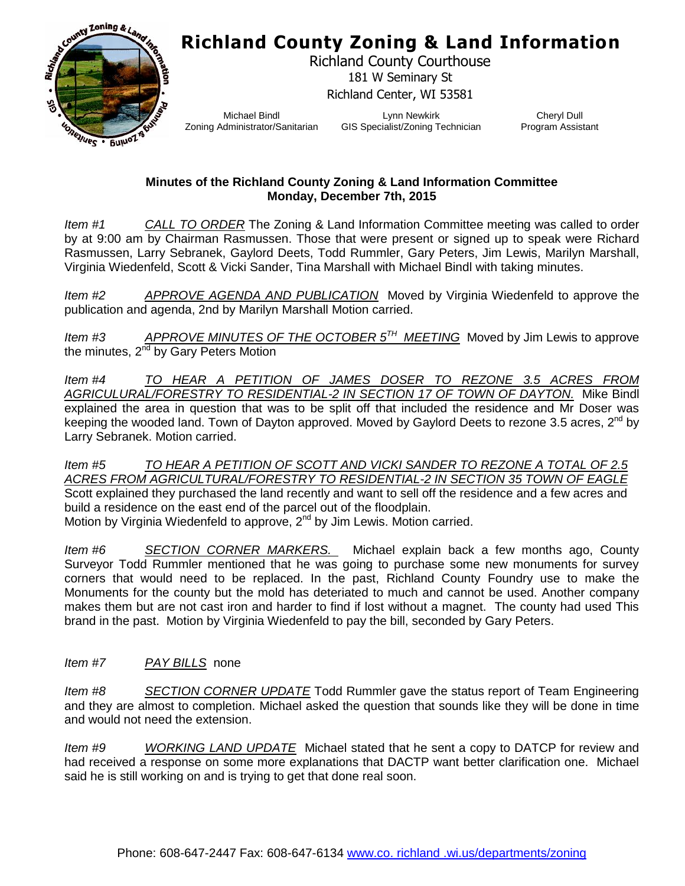## **Richland County Zoning & Land Information**



Richland County Courthouse 181 W Seminary St Richland Center, WI 53581

Michael Bindl Zoning Administrator/Sanitarian

Lynn Newkirk GIS Specialist/Zoning Technician

Cheryl Dull Program Assistant

## **Minutes of the Richland County Zoning & Land Information Committee Monday, December 7th, 2015**

*Item #1 CALL TO ORDER* The Zoning & Land Information Committee meeting was called to order by at 9:00 am by Chairman Rasmussen. Those that were present or signed up to speak were Richard Rasmussen, Larry Sebranek, Gaylord Deets, Todd Rummler, Gary Peters, Jim Lewis, Marilyn Marshall, Virginia Wiedenfeld, Scott & Vicki Sander, Tina Marshall with Michael Bindl with taking minutes.

*Item #2 APPROVE AGENDA AND PUBLICATION* Moved by Virginia Wiedenfeld to approve the publication and agenda, 2nd by Marilyn Marshall Motion carried.

*Item #3 APPROVE MINUTES OF THE OCTOBER 5TH MEETING* Moved by Jim Lewis to approve the minutes, 2<sup>nd</sup> by Gary Peters Motion

*Item #4 TO HEAR A PETITION OF JAMES DOSER TO REZONE 3.5 ACRES FROM AGRICULURAL/FORESTRY TO RESIDENTIAL-2 IN SECTION 17 OF TOWN OF DAYTON.* Mike Bindl explained the area in question that was to be split off that included the residence and Mr Doser was keeping the wooded land. Town of Dayton approved. Moved by Gaylord Deets to rezone 3.5 acres, 2<sup>nd</sup> by Larry Sebranek. Motion carried.

*Item #5 TO HEAR A PETITION OF SCOTT AND VICKI SANDER TO REZONE A TOTAL OF 2.5 ACRES FROM AGRICULTURAL/FORESTRY TO RESIDENTIAL-2 IN SECTION 35 TOWN OF EAGLE* Scott explained they purchased the land recently and want to sell off the residence and a few acres and build a residence on the east end of the parcel out of the floodplain. Motion by Virginia Wiedenfeld to approve,  $2<sup>nd</sup>$  by Jim Lewis. Motion carried.

*Item #6 SECTION CORNER MARKERS.* Michael explain back a few months ago, County Surveyor Todd Rummler mentioned that he was going to purchase some new monuments for survey corners that would need to be replaced. In the past, Richland County Foundry use to make the Monuments for the county but the mold has deteriated to much and cannot be used. Another company makes them but are not cast iron and harder to find if lost without a magnet. The county had used This brand in the past. Motion by Virginia Wiedenfeld to pay the bill, seconded by Gary Peters.

## *Item #7 PAY BILLS* none

*Item #8 SECTION CORNER UPDATE* Todd Rummler gave the status report of Team Engineering and they are almost to completion. Michael asked the question that sounds like they will be done in time and would not need the extension.

*Item #9 WORKING LAND UPDATE* Michael stated that he sent a copy to DATCP for review and had received a response on some more explanations that DACTP want better clarification one. Michael said he is still working on and is trying to get that done real soon.